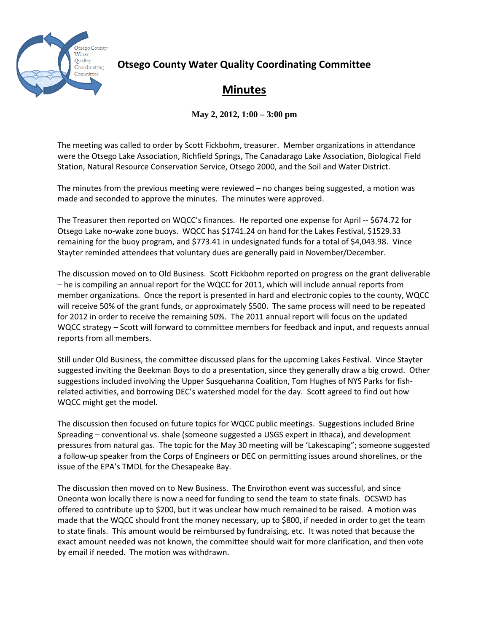

## **Otsego County Water Quality Coordinating Committee**

## **Minutes**

**May 2, 2012, 1:00 – 3:00 pm**

The meeting was called to order by Scott Fickbohm, treasurer. Member organizations in attendance were the Otsego Lake Association, Richfield Springs, The Canadarago Lake Association, Biological Field Station, Natural Resource Conservation Service, Otsego 2000, and the Soil and Water District.

The minutes from the previous meeting were reviewed – no changes being suggested, a motion was made and seconded to approve the minutes. The minutes were approved.

The Treasurer then reported on WQCC's finances. He reported one expense for April -- \$674.72 for Otsego Lake no-wake zone buoys. WQCC has \$1741.24 on hand for the Lakes Festival, \$1529.33 remaining for the buoy program, and \$773.41 in undesignated funds for a total of \$4,043.98. Vince Stayter reminded attendees that voluntary dues are generally paid in November/December.

The discussion moved on to Old Business. Scott Fickbohm reported on progress on the grant deliverable – he is compiling an annual report for the WQCC for 2011, which will include annual reports from member organizations. Once the report is presented in hard and electronic copies to the county, WQCC will receive 50% of the grant funds, or approximately \$500. The same process will need to be repeated for 2012 in order to receive the remaining 50%. The 2011 annual report will focus on the updated WQCC strategy – Scott will forward to committee members for feedback and input, and requests annual reports from all members.

Still under Old Business, the committee discussed plans for the upcoming Lakes Festival. Vince Stayter suggested inviting the Beekman Boys to do a presentation, since they generally draw a big crowd. Other suggestions included involving the Upper Susquehanna Coalition, Tom Hughes of NYS Parks for fishrelated activities, and borrowing DEC's watershed model for the day. Scott agreed to find out how WQCC might get the model.

The discussion then focused on future topics for WQCC public meetings. Suggestions included Brine Spreading – conventional vs. shale (someone suggested a USGS expert in Ithaca), and development pressures from natural gas. The topic for the May 30 meeting will be 'Lakescaping"; someone suggested a follow-up speaker from the Corps of Engineers or DEC on permitting issues around shorelines, or the issue of the EPA's TMDL for the Chesapeake Bay.

The discussion then moved on to New Business. The Envirothon event was successful, and since Oneonta won locally there is now a need for funding to send the team to state finals. OCSWD has offered to contribute up to \$200, but it was unclear how much remained to be raised. A motion was made that the WQCC should front the money necessary, up to \$800, if needed in order to get the team to state finals. This amount would be reimbursed by fundraising, etc. It was noted that because the exact amount needed was not known, the committee should wait for more clarification, and then vote by email if needed. The motion was withdrawn.